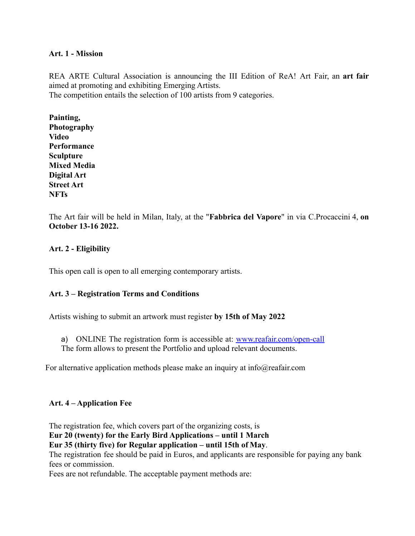### **Art. 1 - Mission**

REA ARTE Cultural Association is announcing the III Edition of ReA! Art Fair, an **art fair** aimed at promoting and exhibiting Emerging Artists. The competition entails the selection of 100 artists from 9 categories.

**Painting, Photography Video Performance Sculpture Mixed Media Digital Art Street Art NFTs**

The Art fair will be held in Milan, Italy, at the "**Fabbrica del Vapore**" in via C.Procaccini 4, **on October 13-16 2022.**

# **Art. 2 - Eligibility**

This open call is open to all emerging contemporary artists.

## **Art. 3 – Registration Terms and Conditions**

Artists wishing to submit an artwork must register **by 15th of May 2022**

- a) ONLINE The registration form is accessible at: [www.reafair.com/open-call](http://www.reafair.com/open-call)
- The form allows to present the Portfolio and upload relevant documents.

For alternative application methods please make an inquiry at info@reafair.com

## **Art. 4 – Application Fee**

The registration fee, which covers part of the organizing costs, is

**Eur 20 (twenty) for the Early Bird Applications – until 1 March**

**Eur 35 (thirty five) for Regular application – until 15th of May**.

The registration fee should be paid in Euros, and applicants are responsible for paying any bank fees or commission.

Fees are not refundable. The acceptable payment methods are: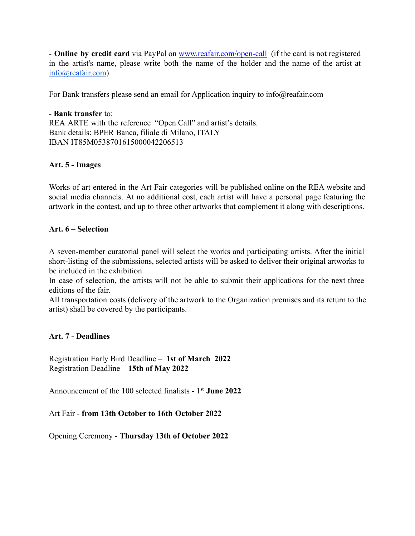- **Online by credit card** via PayPal on [www.reafair.com/open-call](http://www.reafair.com/open-call) (if the card is not registered in the artist's name, please write both the name of the holder and the name of the artist at [info@reafair.com\)](mailto:info@reafair.com)

[For Bank transfers please send an email for Application inquiry to info@reafair.com](mailto:info@reafair.com)

- **Bank transfer** to: REA ARTE with the reference "Open Call" and artist's details. Bank details: BPER Banca, filiale di Milano, ITALY IBAN IT85M0538701615000042206513

### **Art. 5 - Images**

Works of art entered in the Art Fair categories will be published online on the REA website and social media channels. At no additional cost, each artist will have a personal page featuring the artwork in the contest, and up to three other artworks that complement it along with descriptions.

### **Art. 6 – Selection**

A seven-member curatorial panel will select the works and participating artists. After the initial short-listing of the submissions, selected artists will be asked to deliver their original artworks to be included in the exhibition.

In case of selection, the artists will not be able to submit their applications for the next three editions of the fair.

All transportation costs (delivery of the artwork to the Organization premises and its return to the artist) shall be covered by the participants.

## **Art. 7 - Deadlines**

Registration Early Bird Deadline – **1st of March 2022** Registration Deadline – **15th of May 2022**

Announcement of the 100 selected finalists - 1**st June 2022**

Art Fair - **from 13th October to 16th October 2022**

Opening Ceremony - **Thursday 13th of October 2022**